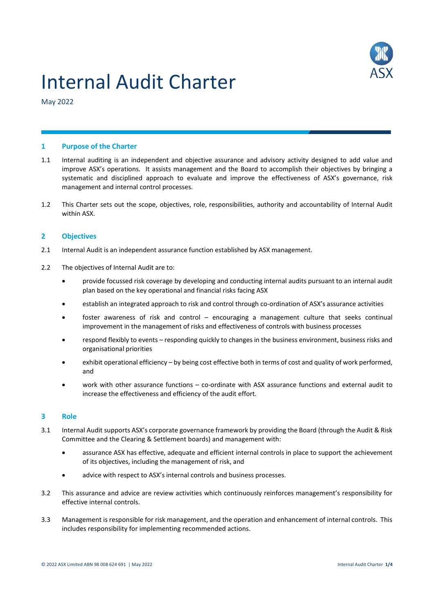

# Internal Audit Charter

May 2022

#### **1 Purpose of the Charter**

- 1.1 Internal auditing is an independent and objective assurance and advisory activity designed to add value and improve ASX's operations. It assists management and the Board to accomplish their objectives by bringing a systematic and disciplined approach to evaluate and improve the effectiveness of ASX's governance, risk management and internal control processes.
- 1.2 This Charter sets out the scope, objectives, role, responsibilities, authority and accountability of Internal Audit within ASX.

# **2 Objectives**

- 2.1 Internal Audit is an independent assurance function established by ASX management.
- 2.2 The objectives of Internal Audit are to:
	- provide focussed risk coverage by developing and conducting internal audits pursuant to an internal audit plan based on the key operational and financial risks facing ASX
	- establish an integrated approach to risk and control through co-ordination of ASX's assurance activities
	- foster awareness of risk and control encouraging a management culture that seeks continual improvement in the management of risks and effectiveness of controls with business processes
	- respond flexibly to events responding quickly to changes in the business environment, business risks and organisational priorities
	- exhibit operational efficiency by being cost effective both in terms of cost and quality of work performed, and
	- work with other assurance functions co-ordinate with ASX assurance functions and external audit to increase the effectiveness and efficiency of the audit effort.

#### **3 Role**

- 3.1 Internal Audit supports ASX's corporate governance framework by providing the Board (through the Audit & Risk Committee and the Clearing & Settlement boards) and management with:
	- assurance ASX has effective, adequate and efficient internal controls in place to support the achievement of its objectives, including the management of risk, and
	- advice with respect to ASX's internal controls and business processes.
- 3.2 This assurance and advice are review activities which continuously reinforces management's responsibility for effective internal controls.
- 3.3 Management is responsible for risk management, and the operation and enhancement of internal controls. This includes responsibility for implementing recommended actions.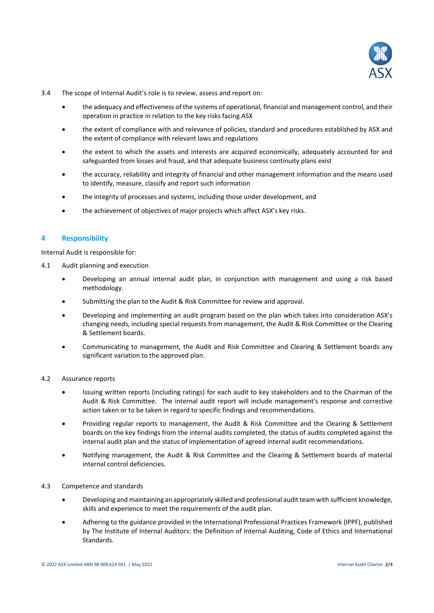

- 3.4 The scope of Internal Audit's role is to review, assess and report on:
	- the adequacy and effectiveness of the systems of operational, financial and management control, and their operation in practice in relation to the key risks facing ASX
	- the extent of compliance with and relevance of policies, standard and procedures established by ASX and the extent of compliance with relevant laws and regulations
	- the extent to which the assets and interests are acquired economically, adequately accounted for and safeguarded from losses and fraud, and that adequate business continuity plans exist
	- the accuracy, reliability and integrity of financial and other management information and the means used to identify, measure, classify and report such information
	- the integrity of processes and systems, including those under development, and
	- the achievement of objectives of major projects which affect ASX's key risks.

# **4 Responsibility**

Internal Audit is responsible for:

- 4.1 Audit planning and execution
	- Developing an annual internal audit plan, in conjunction with management and using a risk based methodology.
	- Submitting the plan to the Audit & Risk Committee for review and approval.
	- Developing and implementing an audit program based on the plan which takes into consideration ASX's changing needs, including special requests from management, the Audit & Risk Committee or the Clearing & Settlement boards.
	- Communicating to management, the Audit and Risk Committee and Clearing & Settlement boards any significant variation to the approved plan.

#### 4.2 Assurance reports

- Issuing written reports (including ratings) for each audit to key stakeholders and to the Chairman of the Audit & Risk Committee. The internal audit report will include management's response and corrective action taken or to be taken in regard to specific findings and recommendations.
- Providing regular reports to management, the Audit & Risk Committee and the Clearing & Settlement boards on the key findings from the internal audits completed, the status of audits completed against the internal audit plan and the status of implementation of agreed internal audit recommendations.
- Notifying management, the Audit & Risk Committee and the Clearing & Settlement boards of material internal control deficiencies.

#### 4.3 Competence and standards

- Developing and maintaining an appropriately skilled and professional audit team with sufficient knowledge, skills and experience to meet the requirements of the audit plan.
- Adhering to the guidance provided in the International Professional Practices Framework (IPPF), published by The Institute of Internal Auditors: the Definition of Internal Auditing, Code of Ethics and International Standards.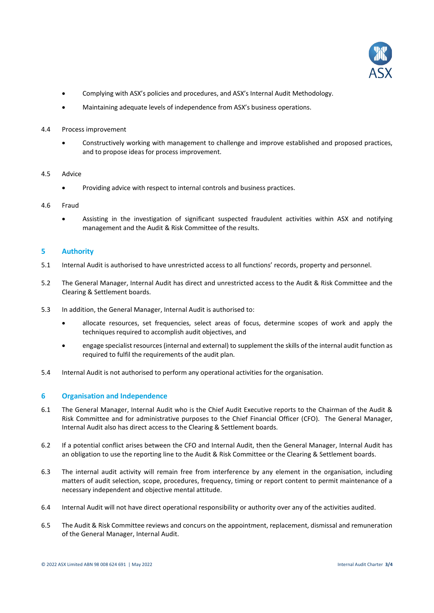

- Complying with ASX's policies and procedures, and ASX's Internal Audit Methodology.
- Maintaining adequate levels of independence from ASX's business operations.
- 4.4 Process improvement
	- Constructively working with management to challenge and improve established and proposed practices, and to propose ideas for process improvement.
- 4.5 Advice
	- Providing advice with respect to internal controls and business practices.
- 4.6 Fraud
	- Assisting in the investigation of significant suspected fraudulent activities within ASX and notifying management and the Audit & Risk Committee of the results.

#### **5 Authority**

- 5.1 Internal Audit is authorised to have unrestricted access to all functions' records, property and personnel.
- 5.2 The General Manager, Internal Audit has direct and unrestricted access to the Audit & Risk Committee and the Clearing & Settlement boards.
- 5.3 In addition, the General Manager, Internal Audit is authorised to:
	- allocate resources, set frequencies, select areas of focus, determine scopes of work and apply the techniques required to accomplish audit objectives, and
	- engage specialist resources (internal and external) to supplement the skills of the internal audit function as required to fulfil the requirements of the audit plan.
- 5.4 Internal Audit is not authorised to perform any operational activities for the organisation.

# **6 Organisation and Independence**

- 6.1 The General Manager, Internal Audit who is the Chief Audit Executive reports to the Chairman of the Audit & Risk Committee and for administrative purposes to the Chief Financial Officer (CFO). The General Manager, Internal Audit also has direct access to the Clearing & Settlement boards.
- 6.2 If a potential conflict arises between the CFO and Internal Audit, then the General Manager, Internal Audit has an obligation to use the reporting line to the Audit & Risk Committee or the Clearing & Settlement boards.
- 6.3 The internal audit activity will remain free from interference by any element in the organisation, including matters of audit selection, scope, procedures, frequency, timing or report content to permit maintenance of a necessary independent and objective mental attitude.
- 6.4 Internal Audit will not have direct operational responsibility or authority over any of the activities audited.
- 6.5 The Audit & Risk Committee reviews and concurs on the appointment, replacement, dismissal and remuneration of the General Manager, Internal Audit.